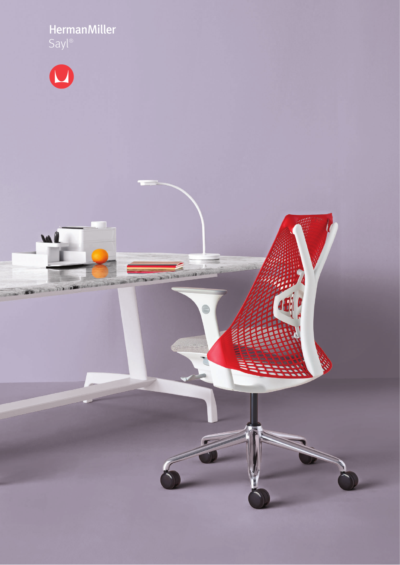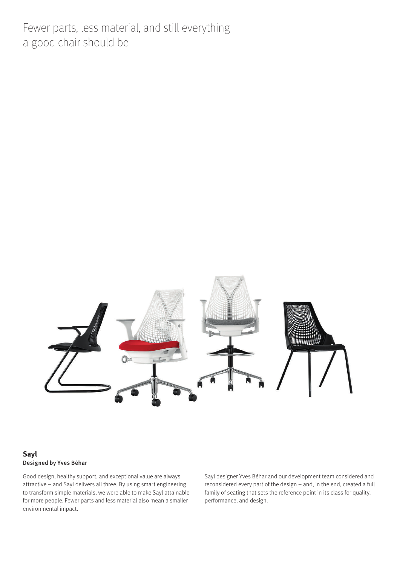Fewer parts, less material, and still everything a good chair should be



#### **Sayl** Designed by Yves Béhar

Good design, healthy support, and exceptional value are always attractive – and Sayl delivers all three. By using smart engineering to transform simple materials, we were able to make Sayl attainable for more people. Fewer parts and less material also mean a smaller environmental impact.

Sayl designer Yves Béhar and our development team considered and reconsidered every part of the design – and, in the end, created a full family of seating that sets the reference point in its class for quality, performance, and design.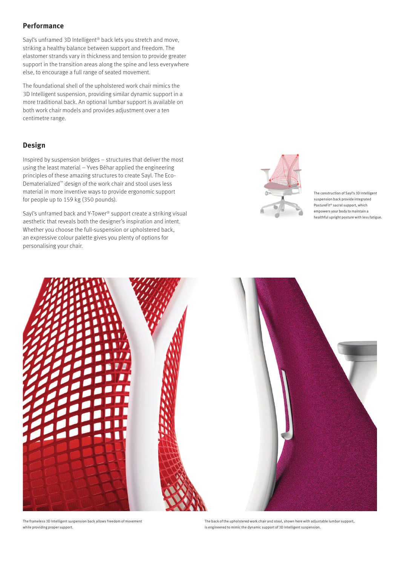# **Performance**

Sayl's unframed 3D Intelligent® back lets you stretch and move, striking a healthy balance between support and freedom. The elastomer strands vary in thickness and tension to provide greater support in the transition areas along the spine and less everywhere else, to encourage a full range of seated movement.

The foundational shell of the upholstered work chair mimics the 3D Intelligent suspension, providing similar dynamic support in a more traditional back. An optional lumbar support is available on both work chair models and provides adjustment over a ten centimetre range.

## **Design**

Inspired by suspension bridges – structures that deliver the most using the least material – Yves Béhar applied the engineering principles of these amazing structures to create Sayl. The Eco-Dematerialized™ design of the work chair and stool uses less material in more inventive ways to provide ergonomic support for people up to 159 kg (350 pounds).

Sayl's unframed back and Y-Tower® support create a striking visual aesthetic that reveals both the designer's inspiration and intent. Whether you choose the full-suspension or upholstered back, an expressive colour palette gives you plenty of options for personalising your chair.



The construction of Sayl's 3D Intelligent suspension back provide integrated PostureFit® sacral support, which empowers your body to maintain a healthful upright posture with less fatigue.



The frameless 3D Intelligent suspension back allows freedom of movement while providing proper support.